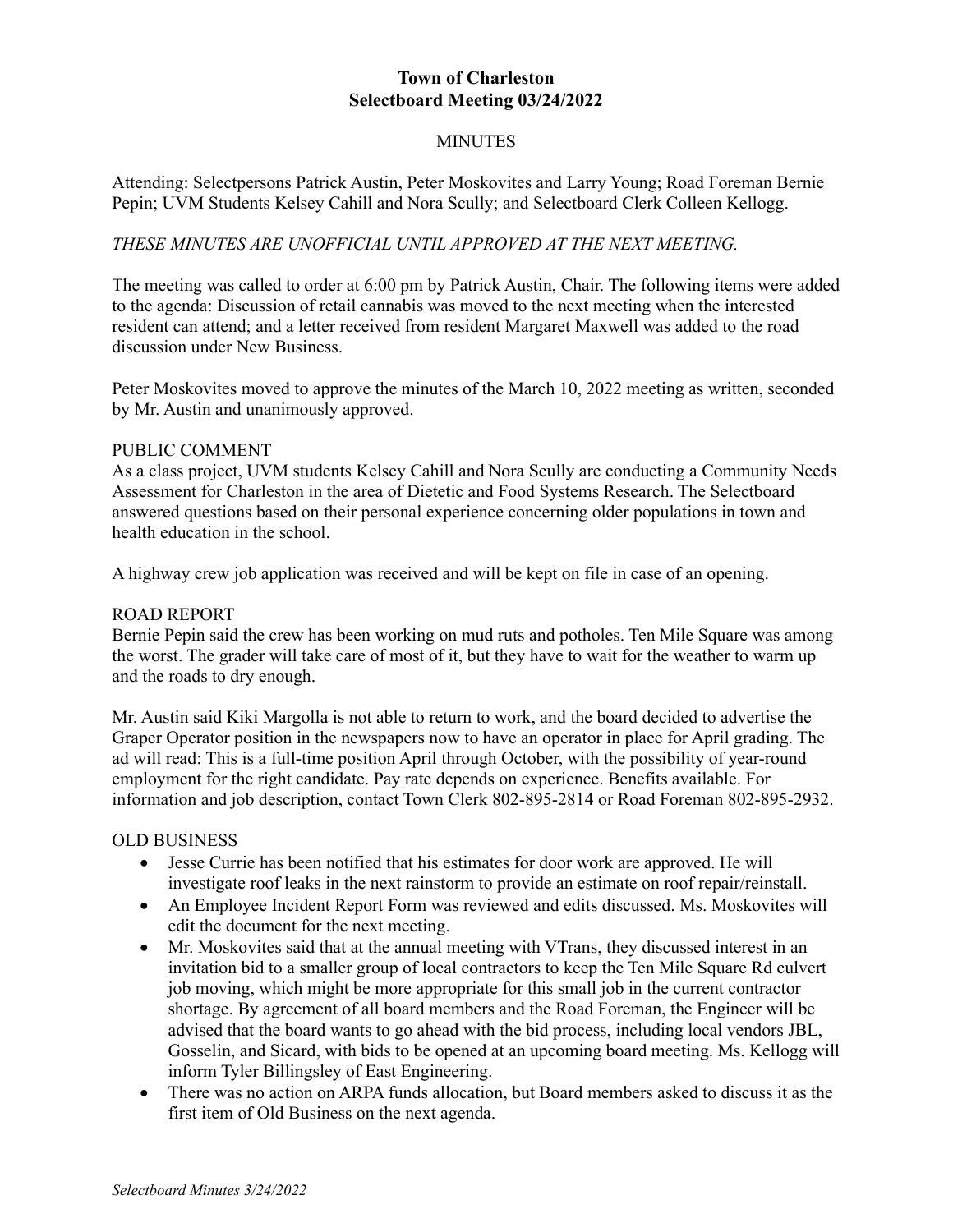# **Town of Charleston Selectboard Meeting 03/24/2022**

# **MINUTES**

Attending: Selectpersons Patrick Austin, Peter Moskovites and Larry Young; Road Foreman Bernie Pepin; UVM Students Kelsey Cahill and Nora Scully; and Selectboard Clerk Colleen Kellogg.

# *THESE MINUTES ARE UNOFFICIAL UNTIL APPROVED AT THE NEXT MEETING.*

The meeting was called to order at 6:00 pm by Patrick Austin, Chair. The following items were added to the agenda: Discussion of retail cannabis was moved to the next meeting when the interested resident can attend; and a letter received from resident Margaret Maxwell was added to the road discussion under New Business.

Peter Moskovites moved to approve the minutes of the March 10, 2022 meeting as written, seconded by Mr. Austin and unanimously approved.

#### PUBLIC COMMENT

As a class project, UVM students Kelsey Cahill and Nora Scully are conducting a Community Needs Assessment for Charleston in the area of Dietetic and Food Systems Research. The Selectboard answered questions based on their personal experience concerning older populations in town and health education in the school.

A highway crew job application was received and will be kept on file in case of an opening.

### ROAD REPORT

Bernie Pepin said the crew has been working on mud ruts and potholes. Ten Mile Square was among the worst. The grader will take care of most of it, but they have to wait for the weather to warm up and the roads to dry enough.

Mr. Austin said Kiki Margolla is not able to return to work, and the board decided to advertise the Graper Operator position in the newspapers now to have an operator in place for April grading. The ad will read: This is a full-time position April through October, with the possibility of year-round employment for the right candidate. Pay rate depends on experience. Benefits available. For information and job description, contact Town Clerk 802-895-2814 or Road Foreman 802-895-2932.

#### OLD BUSINESS

- Jesse Currie has been notified that his estimates for door work are approved. He will investigate roof leaks in the next rainstorm to provide an estimate on roof repair/reinstall.
- An Employee Incident Report Form was reviewed and edits discussed. Ms. Moskovites will edit the document for the next meeting.
- Mr. Moskovites said that at the annual meeting with VTrans, they discussed interest in an invitation bid to a smaller group of local contractors to keep the Ten Mile Square Rd culvert job moving, which might be more appropriate for this small job in the current contractor shortage. By agreement of all board members and the Road Foreman, the Engineer will be advised that the board wants to go ahead with the bid process, including local vendors JBL, Gosselin, and Sicard, with bids to be opened at an upcoming board meeting. Ms. Kellogg will inform Tyler Billingsley of East Engineering.
- There was no action on ARPA funds allocation, but Board members asked to discuss it as the first item of Old Business on the next agenda.